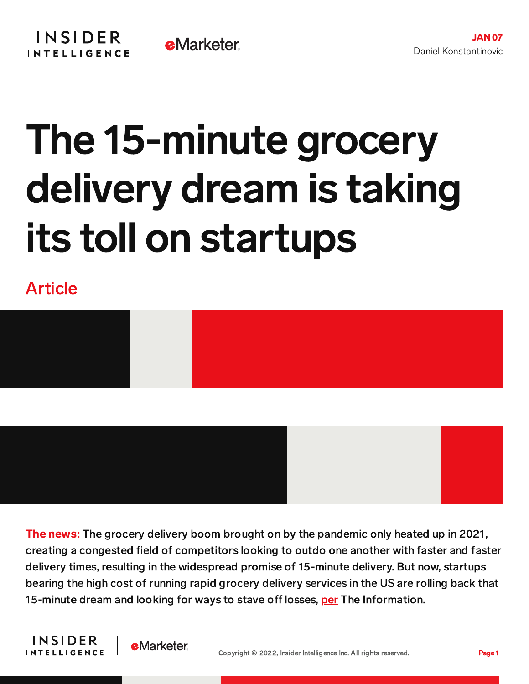## The 15-minute grocery delivery dream is taking its toll on startups

Article





The news: The grocery delivery boom brought on by the pandemic only heated up in 2021, creating a congested field of competitors looking to outdo one another with faster and faster delivery times, resulting in the widespread promise of 15-minute delivery. But now, startups bearing the high cost of running rapid grocery delivery services in the US are rolling back that 15-minute dream and looking for ways to stave off losses, [per](https://www.theinformation.com/articles/instant-delivery-startups-test-a-new-tactic-slower-delivery?utm_content=article-6939&utm_source=sg&utm_medium=email&utm_campaign=article_email&rc=simxn1) The Information.



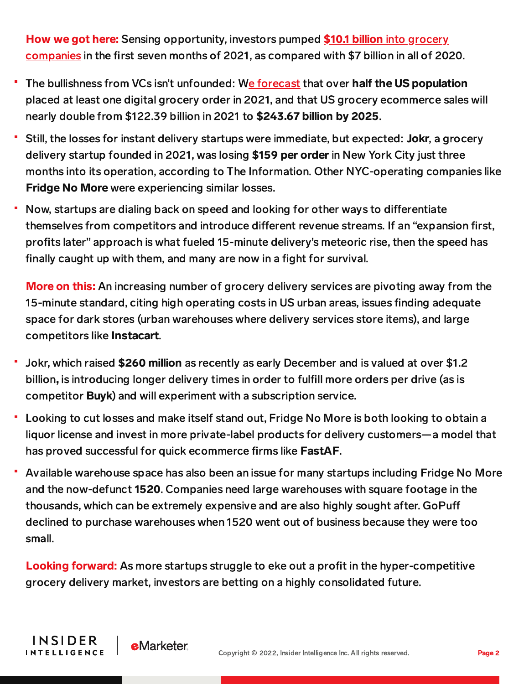How we got here: Sensing [opportunity,](https://content-na2.emarketer.com/copy-of-rapid-grocery-delivery-startups-abound-they-future-of-retail) investors pumped \$10.1 billion into grocery companies in the first seven months of 2021, as compared with \$7 billion in all of 2020.

- The bullishness from VCs isn't unfounded: We [forecast](https://content-na2.emarketer.com/us-digital-grocery-forecast-2021) that over half the US population placed at least one digital grocery order in 2021, and that US grocery ecommerce sales will nearly double from \$122.39 billion in 2021 to \$243.67 billion by 2025.
- Still, the losses for instant delivery startups were immediate, but expected: Jokr, a grocery delivery startup founded in 2021, was losing \$159 per order in New York City just three months into its operation, according to The Information. Other NYC-operating companies like Fridge No More were experiencing similar losses.
- Now, startups are dialing back on speed and looking for other ways to differentiate themselves from competitors and introduce different revenue streams. If an "expansion first, profits later" approach is what fueled 15-minute delivery's meteoric rise, then the speed has finally caught up with them, and many are now in a fight for survival.

More on this: An increasing number of grocery delivery services are pivoting away from the 15-minute standard, citing high operating costs in US urban areas, issues finding adequate space for dark stores (urban warehouses where delivery services store items), and large competitors like Instacart.

- Jokr, which raised \$260 million as recently as early December and is valued at over \$1.2 billion, is introducing longer delivery times in order to fulfill more orders per drive (as is competitor Buyk) and will experiment with a subscription service.
- Looking to cut losses and make itself stand out, Fridge No More is both looking to obtain a liquor license and invest in more private-label products for delivery customers—a model that has proved successful for quick ecommerce firms like FastAF.
- ۳ Available warehouse space has also been an issue for many startups including Fridge No More and the now-defunct 1520. Companies need large warehouses with square footage in the thousands, which can be extremely expensive and are also highly sought after. GoPu declined to purchase warehouses when 1520 went out of business because they were too small.

Looking forward: As more startups struggle to eke out a profit in the hyper-competitive grocery delivery market, investors are betting on a highly consolidated future.

INSIDER

**INTELLIGENCE** 

**e**Marketer